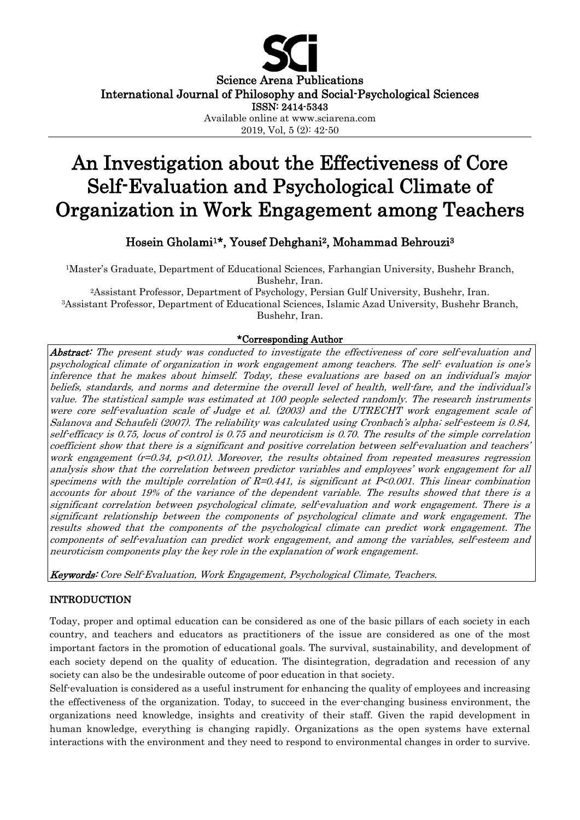

Science Arena Publications International Journal of Philosophy and Social-Psychological Sciences

ISSN: 2414-5343

Available online at www.sciarena.com

2019, Vol, 5 (2): 42-50

# An Investigation about the Effectiveness of Core Self-Evaluation and Psychological Climate of Organization in Work Engagement among Teachers

Hosein Gholami1\*, Yousef Dehghani2, Mohammad Behrouzi3

1Master's Graduate, Department of Educational Sciences, Farhangian University, Bushehr Branch, Bushehr, Iran.

2Assistant Professor, Department of Psychology, Persian Gulf University, Bushehr, Iran. 3Assistant Professor, Department of Educational Sciences, Islamic Azad University, Bushehr Branch, Bushehr, Iran.

## \*Corresponding Author

Abstract: The present study was conducted to investigate the effectiveness of core self-evaluation and psychological climate of organization in work engagement among teachers. The self- evaluation is one's inference that he makes about himself. Today, these evaluations are based on an individual's major beliefs, standards, and norms and determine the overall level of health, well-fare, and the individual's value. The statistical sample was estimated at 100 people selected randomly. The research instruments were core self-evaluation scale of Judge et al. (2003) and the UTRECHT work engagement scale of Salanova and Schaufeli (2007). The reliability was calculated using Cronbach's alpha; self-esteem is 0.84, self-efficacy is 0.75, locus of control is 0.75 and neuroticism is 0.70. The results of the simple correlation coefficient show that there is a significant and positive correlation between self-evaluation and teachers' work engagement  $(r=0.34, p<0.01)$ . Moreover, the results obtained from repeated measures regression analysis show that the correlation between predictor variables and employees' work engagement for all specimens with the multiple correlation of  $R=0.441$ , is significant at  $P<0.001$ . This linear combination accounts for about 19% of the variance of the dependent variable. The results showed that there is a significant correlation between psychological climate, self-evaluation and work engagement. There is a significant relationship between the components of psychological climate and work engagement. The results showed that the components of the psychological climate can predict work engagement. The components of self-evaluation can predict work engagement, and among the variables, self-esteem and neuroticism components play the key role in the explanation of work engagement.

Keywords: Core Self-Evaluation, Work Engagement, Psychological Climate, Teachers.

# INTRODUCTION

Today, proper and optimal education can be considered as one of the basic pillars of each society in each country, and teachers and educators as practitioners of the issue are considered as one of the most important factors in the promotion of educational goals. The survival, sustainability, and development of each society depend on the quality of education. The disintegration, degradation and recession of any society can also be the undesirable outcome of poor education in that society.

Self-evaluation is considered as a useful instrument for enhancing the quality of employees and increasing the effectiveness of the organization. Today, to succeed in the ever-changing business environment, the organizations need knowledge, insights and creativity of their staff. Given the rapid development in human knowledge, everything is changing rapidly. Organizations as the open systems have external interactions with the environment and they need to respond to environmental changes in order to survive.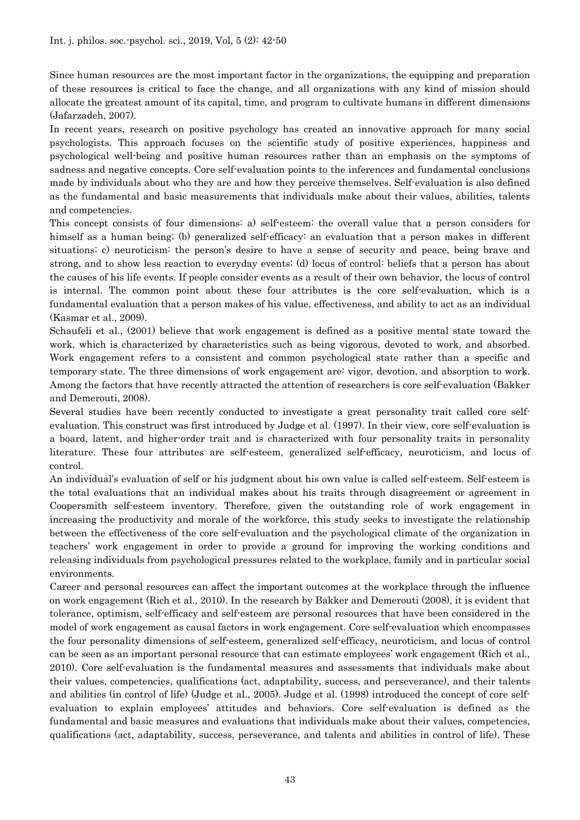Since human resources are the most important factor in the organizations, the equipping and preparation of these resources is critical to face the change, and all organizations with any kind of mission should allocate the greatest amount of its capital, time, and program to cultivate humans in different dimensions (Jafarzadeh, 2007).

In recent years, research on positive psychology has created an innovative approach for many social psychologists. This approach focuses on the scientific study of positive experiences, happiness and psychological well-being and positive human resources rather than an emphasis on the symptoms of sadness and negative concepts. Core self-evaluation points to the inferences and fundamental conclusions made by individuals about who they are and how they perceive themselves. Self-evaluation is also defined as the fundamental and basic measurements that individuals make about their values, abilities, talents and competencies.

This concept consists of four dimensions: a) self-esteem: the overall value that a person considers for himself as a human being; (b) generalized self-efficacy: an evaluation that a person makes in different situations; c) neuroticism: the person's desire to have a sense of security and peace, being brave and strong, and to show less reaction to everyday events; (d) locus of control: beliefs that a person has about the causes of his life events. If people consider events as a result of their own behavior, the locus of control is internal. The common point about these four attributes is the core self-evaluation, which is a fundamental evaluation that a person makes of his value, effectiveness, and ability to act as an individual (Kasmar et al., 2009).

Schaufeli et al., (2001) believe that work engagement is defined as a positive mental state toward the work, which is characterized by characteristics such as being vigorous, devoted to work, and absorbed. Work engagement refers to a consistent and common psychological state rather than a specific and temporary state. The three dimensions of work engagement are: vigor, devotion, and absorption to work. Among the factors that have recently attracted the attention of researchers is core self-evaluation (Bakker and Demerouti, 2008).

Several studies have been recently conducted to investigate a great personality trait called core selfevaluation. This construct was first introduced by Judge et al. (1997). In their view, core self-evaluation is a board, latent, and higher-order trait and is characterized with four personality traits in personality literature. These four attributes are self-esteem, generalized self-efficacy, neuroticism, and locus of control.

An individual's evaluation of self or his judgment about his own value is called self-esteem. Self-esteem is the total evaluations that an individual makes about his traits through disagreement or agreement in Coopersmith self-esteem inventory. Therefore, given the outstanding role of work engagement in increasing the productivity and morale of the workforce, this study seeks to investigate the relationship between the effectiveness of the core self-evaluation and the psychological climate of the organization in teachers' work engagement in order to provide a ground for improving the working conditions and releasing individuals from psychological pressures related to the workplace, family and in particular social environments.

Career and personal resources can affect the important outcomes at the workplace through the influence on work engagement (Rich et al., 2010). In the research by Bakker and Demerouti (2008), it is evident that tolerance, optimism, self-efficacy and self-esteem are personal resources that have been considered in the model of work engagement as causal factors in work engagement. Core self-evaluation which encompasses the four personality dimensions of self-esteem, generalized self-efficacy, neuroticism, and locus of control can be seen as an important personal resource that can estimate employees' work engagement (Rich et al., 2010). Core self-evaluation is the fundamental measures and assessments that individuals make about their values, competencies, qualifications (act, adaptability, success, and perseverance), and their talents and abilities (in control of life) (Judge et al., 2005). Judge et al. (1998) introduced the concept of core selfevaluation to explain employees' attitudes and behaviors. Core self-evaluation is defined as the fundamental and basic measures and evaluations that individuals make about their values, competencies, qualifications (act, adaptability, success, perseverance, and talents and abilities in control of life). These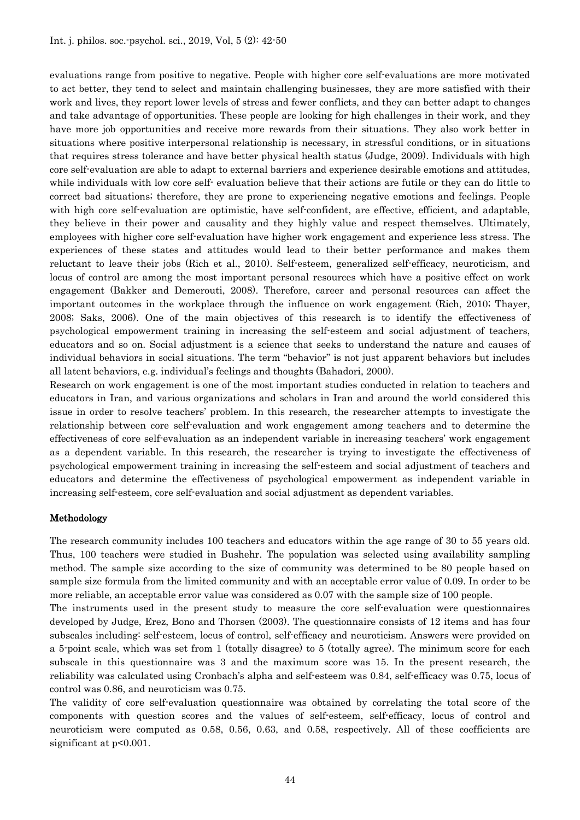evaluations range from positive to negative. People with higher core self-evaluations are more motivated to act better, they tend to select and maintain challenging businesses, they are more satisfied with their work and lives, they report lower levels of stress and fewer conflicts, and they can better adapt to changes and take advantage of opportunities. These people are looking for high challenges in their work, and they have more job opportunities and receive more rewards from their situations. They also work better in situations where positive interpersonal relationship is necessary, in stressful conditions, or in situations that requires stress tolerance and have better physical health status (Judge, 2009). Individuals with high core self-evaluation are able to adapt to external barriers and experience desirable emotions and attitudes, while individuals with low core self- evaluation believe that their actions are futile or they can do little to correct bad situations; therefore, they are prone to experiencing negative emotions and feelings. People with high core self-evaluation are optimistic, have self-confident, are effective, efficient, and adaptable, they believe in their power and causality and they highly value and respect themselves. Ultimately, employees with higher core self-evaluation have higher work engagement and experience less stress. The experiences of these states and attitudes would lead to their better performance and makes them reluctant to leave their jobs (Rich et al., 2010). Self-esteem, generalized self-efficacy, neuroticism, and locus of control are among the most important personal resources which have a positive effect on work engagement (Bakker and Demerouti, 2008). Therefore, career and personal resources can affect the important outcomes in the workplace through the influence on work engagement (Rich, 2010; Thayer, 2008; Saks, 2006). One of the main objectives of this research is to identify the effectiveness of psychological empowerment training in increasing the self-esteem and social adjustment of teachers, educators and so on. Social adjustment is a science that seeks to understand the nature and causes of individual behaviors in social situations. The term "behavior" is not just apparent behaviors but includes all latent behaviors, e.g. individual's feelings and thoughts (Bahadori, 2000).

Research on work engagement is one of the most important studies conducted in relation to teachers and educators in Iran, and various organizations and scholars in Iran and around the world considered this issue in order to resolve teachers' problem. In this research, the researcher attempts to investigate the relationship between core self-evaluation and work engagement among teachers and to determine the effectiveness of core self-evaluation as an independent variable in increasing teachers' work engagement as a dependent variable. In this research, the researcher is trying to investigate the effectiveness of psychological empowerment training in increasing the self-esteem and social adjustment of teachers and educators and determine the effectiveness of psychological empowerment as independent variable in increasing self-esteem, core self-evaluation and social adjustment as dependent variables.

#### Methodology

The research community includes 100 teachers and educators within the age range of 30 to 55 years old. Thus, 100 teachers were studied in Bushehr. The population was selected using availability sampling method. The sample size according to the size of community was determined to be 80 people based on sample size formula from the limited community and with an acceptable error value of 0.09. In order to be more reliable, an acceptable error value was considered as 0.07 with the sample size of 100 people.

The instruments used in the present study to measure the core self-evaluation were questionnaires developed by Judge, Erez, Bono and Thorsen (2003). The questionnaire consists of 12 items and has four subscales including: self-esteem, locus of control, self-efficacy and neuroticism. Answers were provided on a 5-point scale, which was set from 1 (totally disagree) to 5 (totally agree). The minimum score for each subscale in this questionnaire was 3 and the maximum score was 15. In the present research, the reliability was calculated using Cronbach's alpha and self-esteem was 0.84, self-efficacy was 0.75, locus of control was 0.86, and neuroticism was 0.75.

The validity of core self-evaluation questionnaire was obtained by correlating the total score of the components with question scores and the values of self-esteem, self-efficacy, locus of control and neuroticism were computed as 0.58, 0.56, 0.63, and 0.58, respectively. All of these coefficients are significant at  $p<0.001$ .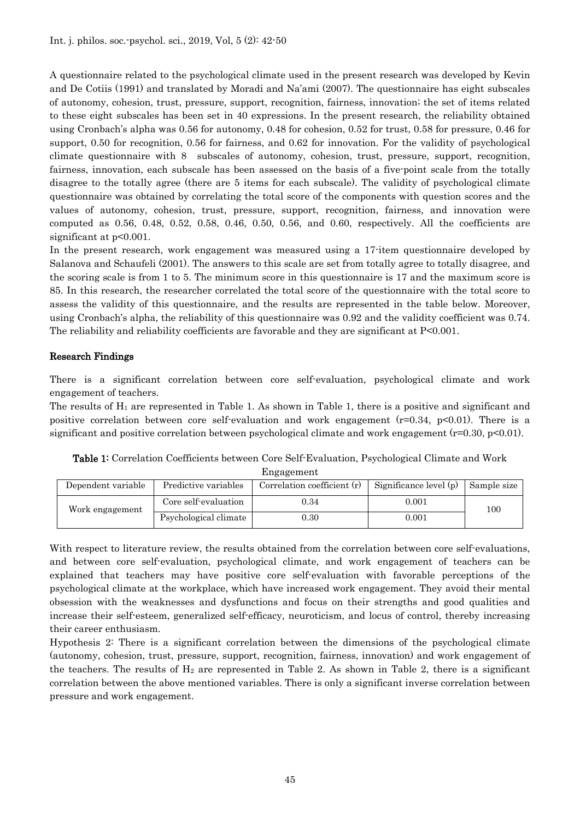A questionnaire related to the psychological climate used in the present research was developed by Kevin and De Cotiis (1991) and translated by Moradi and Na'ami (2007). The questionnaire has eight subscales of autonomy, cohesion, trust, pressure, support, recognition, fairness, innovation; the set of items related to these eight subscales has been set in 40 expressions. In the present research, the reliability obtained using Cronbach's alpha was 0.56 for autonomy, 0.48 for cohesion, 0.52 for trust, 0.58 for pressure, 0.46 for support, 0.50 for recognition, 0.56 for fairness, and 0.62 for innovation. For the validity of psychological climate questionnaire with 8 subscales of autonomy, cohesion, trust, pressure, support, recognition, fairness, innovation, each subscale has been assessed on the basis of a five-point scale from the totally disagree to the totally agree (there are 5 items for each subscale). The validity of psychological climate questionnaire was obtained by correlating the total score of the components with question scores and the values of autonomy, cohesion, trust, pressure, support, recognition, fairness, and innovation were computed as  $0.56$ ,  $0.48$ ,  $0.52$ ,  $0.58$ ,  $0.46$ ,  $0.50$ ,  $0.56$ , and  $0.60$ , respectively. All the coefficients are significant at  $p<0.001$ .

In the present research, work engagement was measured using a 17-item questionnaire developed by Salanova and Schaufeli (2001). The answers to this scale are set from totally agree to totally disagree, and the scoring scale is from 1 to 5. The minimum score in this questionnaire is 17 and the maximum score is 85. In this research, the researcher correlated the total score of the questionnaire with the total score to assess the validity of this questionnaire, and the results are represented in the table below. Moreover, using Cronbach's alpha, the reliability of this questionnaire was 0.92 and the validity coefficient was 0.74. The reliability and reliability coefficients are favorable and they are significant at P<0.001.

## Research Findings

There is a significant correlation between core self-evaluation, psychological climate and work engagement of teachers.

The results of  $H_1$  are represented in Table 1. As shown in Table 1, there is a positive and significant and positive correlation between core self-evaluation and work engagement  $(r=0.34, p<0.01)$ . There is a significant and positive correlation between psychological climate and work engagement  $(r=0.30, p<0.01)$ .

| m <sub>5</sub>     |                       |                               |                                      |     |  |  |  |  |  |  |  |
|--------------------|-----------------------|-------------------------------|--------------------------------------|-----|--|--|--|--|--|--|--|
| Dependent variable | Predictive variables  | Correlation coefficient $(r)$ | Significance level $(p)$ Sample size |     |  |  |  |  |  |  |  |
| Work engagement    | Core self-evaluation  | 0.34                          | 0.001                                | 100 |  |  |  |  |  |  |  |
|                    | Psychological climate | 0.30                          | 0.001                                |     |  |  |  |  |  |  |  |

Table 1: Correlation Coefficients between Core Self-Evaluation, Psychological Climate and Work Engagement

With respect to literature review, the results obtained from the correlation between core self-evaluations, and between core self-evaluation, psychological climate, and work engagement of teachers can be explained that teachers may have positive core self-evaluation with favorable perceptions of the psychological climate at the workplace, which have increased work engagement. They avoid their mental obsession with the weaknesses and dysfunctions and focus on their strengths and good qualities and increase their self-esteem, generalized self-efficacy, neuroticism, and locus of control, thereby increasing their career enthusiasm.

Hypothesis 2: There is a significant correlation between the dimensions of the psychological climate (autonomy, cohesion, trust, pressure, support, recognition, fairness, innovation) and work engagement of the teachers. The results of  $H_2$  are represented in Table 2. As shown in Table 2, there is a significant correlation between the above mentioned variables. There is only a significant inverse correlation between pressure and work engagement.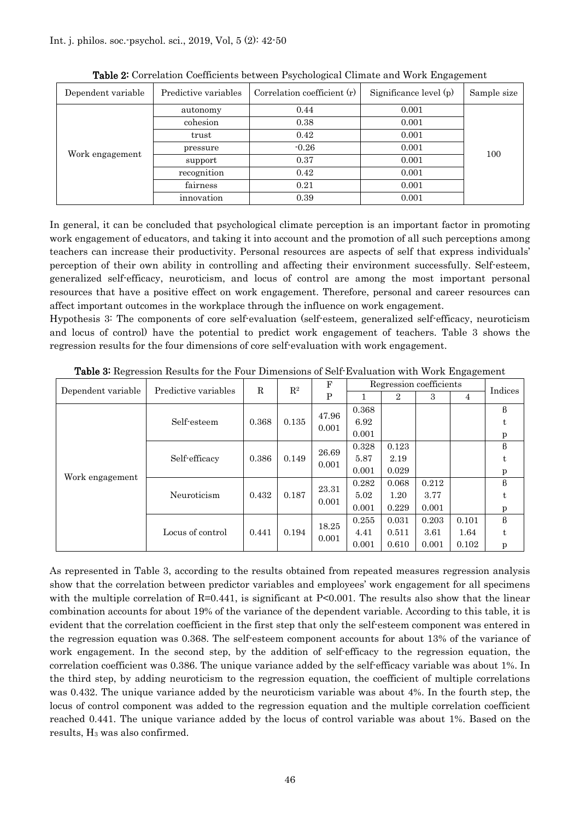| Dependent variable | Predictive variables | Correlation coefficient $(r)$ | Significance level $(p)$ | Sample size |  |  |
|--------------------|----------------------|-------------------------------|--------------------------|-------------|--|--|
| Work engagement    | autonomy             | 0.44                          | 0.001                    |             |  |  |
|                    | cohesion             | 0.38                          | 0.001                    |             |  |  |
|                    | trust                | 0.42                          | 0.001                    |             |  |  |
|                    | pressure             | $-0.26$                       | 0.001                    | 100         |  |  |
|                    | support              | 0.37                          | 0.001                    |             |  |  |
|                    | recognition          | 0.42                          | 0.001                    |             |  |  |
|                    | fairness             | 0.21                          | 0.001                    |             |  |  |
|                    | innovation           | 0.39                          | 0.001                    |             |  |  |

Table 2: Correlation Coefficients between Psychological Climate and Work Engagement

In general, it can be concluded that psychological climate perception is an important factor in promoting work engagement of educators, and taking it into account and the promotion of all such perceptions among teachers can increase their productivity. Personal resources are aspects of self that express individuals' perception of their own ability in controlling and affecting their environment successfully. Self-esteem, generalized self-efficacy, neuroticism, and locus of control are among the most important personal resources that have a positive effect on work engagement. Therefore, personal and career resources can affect important outcomes in the workplace through the influence on work engagement.

Hypothesis 3: The components of core self-evaluation (self-esteem, generalized self-efficacy, neuroticism and locus of control) have the potential to predict work engagement of teachers. Table 3 shows the regression results for the four dimensions of core self-evaluation with work engagement.

| Dependent variable | Predictive variables | $\mathbf R$ | $\mathbf{R}^2$ | F     | Regression coefficients |                |       | Indices |         |
|--------------------|----------------------|-------------|----------------|-------|-------------------------|----------------|-------|---------|---------|
|                    |                      |             |                | P     |                         | $\overline{2}$ | 3     | 4       |         |
|                    |                      | 0.368       | 0.135          | 47.96 | 0.368                   |                |       |         | $\beta$ |
|                    | Self-esteem          |             |                | 0.001 | 6.92                    |                |       |         | t       |
|                    |                      |             |                |       | 0.001                   |                |       |         | p       |
| Work engagement    | Self-efficacy        |             |                | 26.69 | 0.328                   | 0.123          |       |         | $\beta$ |
|                    |                      | 0.386       | 0.149          | 0.001 | 5.87                    | 2.19           |       |         | t       |
|                    |                      |             |                |       | 0.001                   | 0.029          |       |         | p       |
|                    | Neuroticism          | 0.432       | 0.187          | 23.31 | 0.282                   | 0.068          | 0.212 |         | $\beta$ |
|                    |                      |             |                | 0.001 | 5.02                    | 1.20           | 3.77  |         | t       |
|                    |                      |             |                |       | 0.001                   | 0.229          | 0.001 |         | p       |
|                    | Locus of control     | 0.441       |                | 18.25 | 0.255                   | 0.031          | 0.203 | 0.101   | $\beta$ |
|                    |                      |             | 0.194          | 0.001 | 4.41                    | 0.511          | 3.61  | 1.64    | t       |
|                    |                      |             |                |       | 0.001                   | 0.610          | 0.001 | 0.102   | p       |

Table 3: Regression Results for the Four Dimensions of Self-Evaluation with Work Engagement

As represented in Table 3, according to the results obtained from repeated measures regression analysis show that the correlation between predictor variables and employees' work engagement for all specimens with the multiple correlation of  $R=0.441$ , is significant at P<0.001. The results also show that the linear combination accounts for about 19% of the variance of the dependent variable. According to this table, it is evident that the correlation coefficient in the first step that only the self-esteem component was entered in the regression equation was 0.368. The self-esteem component accounts for about 13% of the variance of work engagement. In the second step, by the addition of self-efficacy to the regression equation, the correlation coefficient was 0.386. The unique variance added by the self-efficacy variable was about 1%. In the third step, by adding neuroticism to the regression equation, the coefficient of multiple correlations was 0.432. The unique variance added by the neuroticism variable was about 4%. In the fourth step, the locus of control component was added to the regression equation and the multiple correlation coefficient reached 0.441. The unique variance added by the locus of control variable was about 1%. Based on the results, H3 was also confirmed.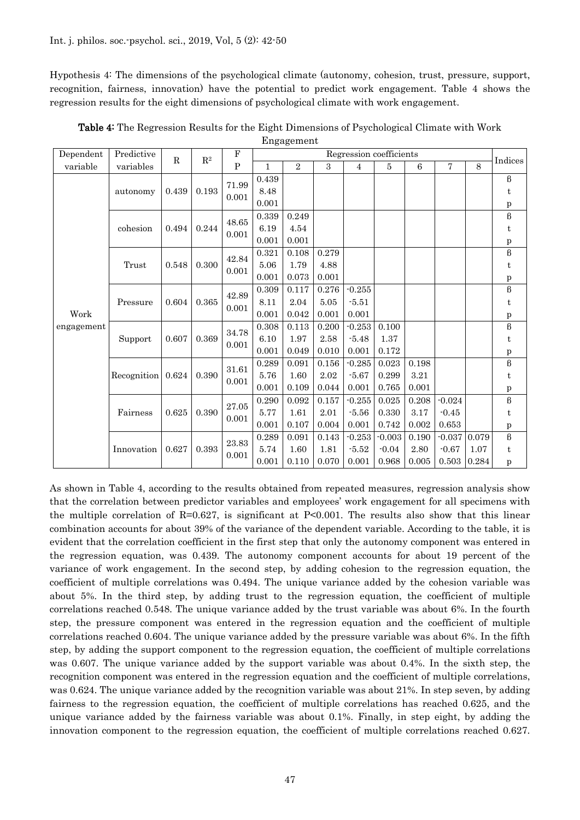Hypothesis 4: The dimensions of the psychological climate (autonomy, cohesion, trust, pressure, support, recognition, fairness, innovation) have the potential to predict work engagement. Table 4 shows the regression results for the eight dimensions of psychological climate with work engagement.

| Dependent          | Predictive  | $\mathbf{R}^2$ |              | ${\bf F}$      | Regression coefficients |       |       |          |          |       |          | Indices |                        |
|--------------------|-------------|----------------|--------------|----------------|-------------------------|-------|-------|----------|----------|-------|----------|---------|------------------------|
| variable           | variables   | $\mathbf R$    | $\, {\bf P}$ | $\mathbf{1}$   | 2                       | 3     | 4     | 5        | $\,6\,$  | 7     | 8        |         |                        |
|                    |             |                | 0.193        | 71.99<br>0.001 | 0.439                   |       |       |          |          |       |          |         | $\boldsymbol{\beta}$   |
|                    | autonomy    | 0.439          |              |                | 8.48                    |       |       |          |          |       |          |         | t                      |
|                    |             |                |              |                | 0.001                   |       |       |          |          |       |          |         | p                      |
|                    | cohesion    | 0.494          | 0.244        | 48.65<br>0.001 | 0.339                   | 0.249 |       |          |          |       |          |         | $\boldsymbol{\upbeta}$ |
| Work<br>engagement |             |                |              |                | 6.19                    | 4.54  |       |          |          |       |          |         | t                      |
|                    |             |                |              |                | 0.001                   | 0.001 |       |          |          |       |          |         | $\mathbf{p}$           |
|                    |             | 0.548          | 0.300        | 42.84<br>0.001 | 0.321                   | 0.108 | 0.279 |          |          |       |          |         | $\overline{B}$         |
|                    | Trust       |                |              |                | 5.06                    | 1.79  | 4.88  |          |          |       |          |         | t                      |
|                    |             |                |              |                | 0.001                   | 0.073 | 0.001 |          |          |       |          |         | $\mathbf{p}$           |
|                    | Pressure    | 0.604          | 0.365        | 42.89<br>0.001 | 0.309                   | 0.117 | 0.276 | $-0.255$ |          |       |          |         | $\boldsymbol{\upbeta}$ |
|                    |             |                |              |                | 8.11                    | 2.04  | 5.05  | $-5.51$  |          |       |          |         | t                      |
|                    |             |                |              |                | 0.001                   | 0.042 | 0.001 | 0.001    |          |       |          |         | p                      |
|                    | Support     | 0.607          | 0.369        | 34.78<br>0.001 | 0.308                   | 0.113 | 0.200 | $-0.253$ | 0.100    |       |          |         | $\boldsymbol{\upbeta}$ |
|                    |             |                |              |                | 6.10                    | 1.97  | 2.58  | $-5.48$  | 1.37     |       |          |         | t                      |
|                    |             |                |              |                | 0.001                   | 0.049 | 0.010 | 0.001    | 0.172    |       |          |         | p                      |
|                    | Recognition | 0.624          | 0.390        | 31.61<br>0.001 | 0.289                   | 0.091 | 0.156 | $-0.285$ | 0.023    | 0.198 |          |         | $\overline{B}$         |
|                    |             |                |              |                | 5.76                    | 1.60  | 2.02  | $-5.67$  | 0.299    | 3.21  |          |         | t                      |
|                    |             |                |              |                | 0.001                   | 0.109 | 0.044 | 0.001    | 0.765    | 0.001 |          |         | $\mathbf{p}$           |
|                    | Fairness    | 0.625          | 0.390        | 27.05<br>0.001 | 0.290                   | 0.092 | 0.157 | $-0.255$ | 0.025    | 0.208 | $-0.024$ |         | $\boldsymbol{\upbeta}$ |
|                    |             |                |              |                | 5.77                    | 1.61  | 2.01  | $-5.56$  | 0.330    | 3.17  | $-0.45$  |         | t                      |
|                    |             |                |              |                | 0.001                   | 0.107 | 0.004 | 0.001    | 0.742    | 0.002 | 0.653    |         | $\mathbf{p}$           |
|                    | Innovation  | 0.627          | 0.393        | 23.83<br>0.001 | 0.289                   | 0.091 | 0.143 | $-0.253$ | $-0.003$ | 0.190 | $-0.037$ | 0.079   | $\boldsymbol{\upbeta}$ |
|                    |             |                |              |                | 5.74                    | 1.60  | 1.81  | $-5.52$  | $-0.04$  | 2.80  | $-0.67$  | 1.07    | t                      |
|                    |             |                |              |                | 0.001                   | 0.110 | 0.070 | 0.001    | 0.968    | 0.005 | 0.503    | 0.284   | p                      |

Table 4: The Regression Results for the Eight Dimensions of Psychological Climate with Work Engagement

As shown in Table 4, according to the results obtained from repeated measures, regression analysis show that the correlation between predictor variables and employees' work engagement for all specimens with the multiple correlation of  $R=0.627$ , is significant at P<0.001. The results also show that this linear combination accounts for about 39% of the variance of the dependent variable. According to the table, it is evident that the correlation coefficient in the first step that only the autonomy component was entered in the regression equation, was 0.439. The autonomy component accounts for about 19 percent of the variance of work engagement. In the second step, by adding cohesion to the regression equation, the coefficient of multiple correlations was 0.494. The unique variance added by the cohesion variable was about 5%. In the third step, by adding trust to the regression equation, the coefficient of multiple correlations reached 0.548. The unique variance added by the trust variable was about 6%. In the fourth step, the pressure component was entered in the regression equation and the coefficient of multiple correlations reached 0.604. The unique variance added by the pressure variable was about 6%. In the fifth step, by adding the support component to the regression equation, the coefficient of multiple correlations was 0.607. The unique variance added by the support variable was about 0.4%. In the sixth step, the recognition component was entered in the regression equation and the coefficient of multiple correlations, was 0.624. The unique variance added by the recognition variable was about 21%. In step seven, by adding fairness to the regression equation, the coefficient of multiple correlations has reached 0.625, and the unique variance added by the fairness variable was about 0.1%. Finally, in step eight, by adding the innovation component to the regression equation, the coefficient of multiple correlations reached 0.627.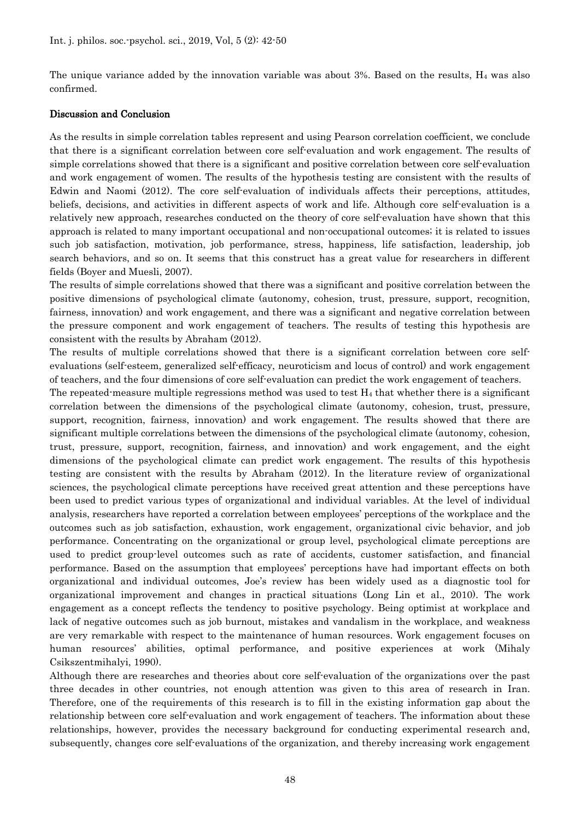The unique variance added by the innovation variable was about  $3\%$ . Based on the results,  $H_4$  was also confirmed.

#### Discussion and Conclusion

As the results in simple correlation tables represent and using Pearson correlation coefficient, we conclude that there is a significant correlation between core self-evaluation and work engagement. The results of simple correlations showed that there is a significant and positive correlation between core self-evaluation and work engagement of women. The results of the hypothesis testing are consistent with the results of Edwin and Naomi (2012). The core self-evaluation of individuals affects their perceptions, attitudes, beliefs, decisions, and activities in different aspects of work and life. Although core self-evaluation is a relatively new approach, researches conducted on the theory of core self-evaluation have shown that this approach is related to many important occupational and non-occupational outcomes; it is related to issues such job satisfaction, motivation, job performance, stress, happiness, life satisfaction, leadership, job search behaviors, and so on. It seems that this construct has a great value for researchers in different fields (Boyer and Muesli, 2007).

The results of simple correlations showed that there was a significant and positive correlation between the positive dimensions of psychological climate (autonomy, cohesion, trust, pressure, support, recognition, fairness, innovation) and work engagement, and there was a significant and negative correlation between the pressure component and work engagement of teachers. The results of testing this hypothesis are consistent with the results by Abraham (2012).

The results of multiple correlations showed that there is a significant correlation between core selfevaluations (self-esteem, generalized self-efficacy, neuroticism and locus of control) and work engagement of teachers, and the four dimensions of core self-evaluation can predict the work engagement of teachers.

The repeated-measure multiple regressions method was used to test  $H_4$  that whether there is a significant correlation between the dimensions of the psychological climate (autonomy, cohesion, trust, pressure, support, recognition, fairness, innovation) and work engagement. The results showed that there are significant multiple correlations between the dimensions of the psychological climate (autonomy, cohesion, trust, pressure, support, recognition, fairness, and innovation) and work engagement, and the eight dimensions of the psychological climate can predict work engagement. The results of this hypothesis testing are consistent with the results by Abraham (2012). In the literature review of organizational sciences, the psychological climate perceptions have received great attention and these perceptions have been used to predict various types of organizational and individual variables. At the level of individual analysis, researchers have reported a correlation between employees' perceptions of the workplace and the outcomes such as job satisfaction, exhaustion, work engagement, organizational civic behavior, and job performance. Concentrating on the organizational or group level, psychological climate perceptions are used to predict group-level outcomes such as rate of accidents, customer satisfaction, and financial performance. Based on the assumption that employees' perceptions have had important effects on both organizational and individual outcomes, Joe's review has been widely used as a diagnostic tool for organizational improvement and changes in practical situations (Long Lin et al., 2010). The work engagement as a concept reflects the tendency to positive psychology. Being optimist at workplace and lack of negative outcomes such as job burnout, mistakes and vandalism in the workplace, and weakness are very remarkable with respect to the maintenance of human resources. Work engagement focuses on human resources' abilities, optimal performance, and positive experiences at work (Mihaly Csikszentmihalyi, 1990).

Although there are researches and theories about core self-evaluation of the organizations over the past three decades in other countries, not enough attention was given to this area of research in Iran. Therefore, one of the requirements of this research is to fill in the existing information gap about the relationship between core self-evaluation and work engagement of teachers. The information about these relationships, however, provides the necessary background for conducting experimental research and, subsequently, changes core self-evaluations of the organization, and thereby increasing work engagement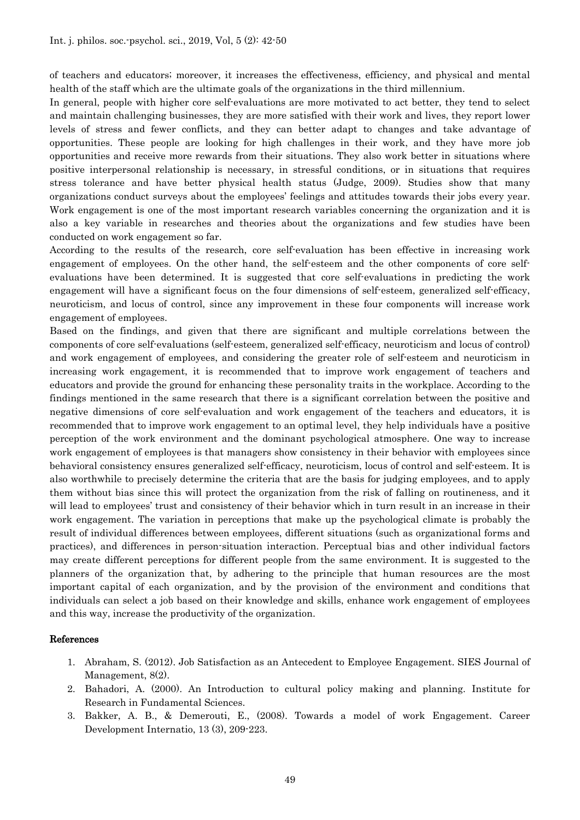of teachers and educators; moreover, it increases the effectiveness, efficiency, and physical and mental health of the staff which are the ultimate goals of the organizations in the third millennium.

In general, people with higher core self-evaluations are more motivated to act better, they tend to select and maintain challenging businesses, they are more satisfied with their work and lives, they report lower levels of stress and fewer conflicts, and they can better adapt to changes and take advantage of opportunities. These people are looking for high challenges in their work, and they have more job opportunities and receive more rewards from their situations. They also work better in situations where positive interpersonal relationship is necessary, in stressful conditions, or in situations that requires stress tolerance and have better physical health status (Judge, 2009). Studies show that many organizations conduct surveys about the employees' feelings and attitudes towards their jobs every year. Work engagement is one of the most important research variables concerning the organization and it is also a key variable in researches and theories about the organizations and few studies have been conducted on work engagement so far.

According to the results of the research, core self-evaluation has been effective in increasing work engagement of employees. On the other hand, the self-esteem and the other components of core selfevaluations have been determined. It is suggested that core self-evaluations in predicting the work engagement will have a significant focus on the four dimensions of self-esteem, generalized self-efficacy, neuroticism, and locus of control, since any improvement in these four components will increase work engagement of employees.

Based on the findings, and given that there are significant and multiple correlations between the components of core self-evaluations (self-esteem, generalized self-efficacy, neuroticism and locus of control) and work engagement of employees, and considering the greater role of self-esteem and neuroticism in increasing work engagement, it is recommended that to improve work engagement of teachers and educators and provide the ground for enhancing these personality traits in the workplace. According to the findings mentioned in the same research that there is a significant correlation between the positive and negative dimensions of core self-evaluation and work engagement of the teachers and educators, it is recommended that to improve work engagement to an optimal level, they help individuals have a positive perception of the work environment and the dominant psychological atmosphere. One way to increase work engagement of employees is that managers show consistency in their behavior with employees since behavioral consistency ensures generalized self-efficacy, neuroticism, locus of control and self-esteem. It is also worthwhile to precisely determine the criteria that are the basis for judging employees, and to apply them without bias since this will protect the organization from the risk of falling on routineness, and it will lead to employees' trust and consistency of their behavior which in turn result in an increase in their work engagement. The variation in perceptions that make up the psychological climate is probably the result of individual differences between employees, different situations (such as organizational forms and practices), and differences in person-situation interaction. Perceptual bias and other individual factors may create different perceptions for different people from the same environment. It is suggested to the planners of the organization that, by adhering to the principle that human resources are the most important capital of each organization, and by the provision of the environment and conditions that individuals can select a job based on their knowledge and skills, enhance work engagement of employees and this way, increase the productivity of the organization.

#### References

- 1. Abraham, S. (2012). Job Satisfaction as an Antecedent to Employee Engagement. SIES Journal of Management, 8(2).
- 2. Bahadori, A. (2000). An Introduction to cultural policy making and planning. Institute for Research in Fundamental Sciences.
- 3. Bakker, A. B., & Demerouti, E., (2008). Towards a model of work Engagement. Career Development Internatio, 13 (3), 209-223.